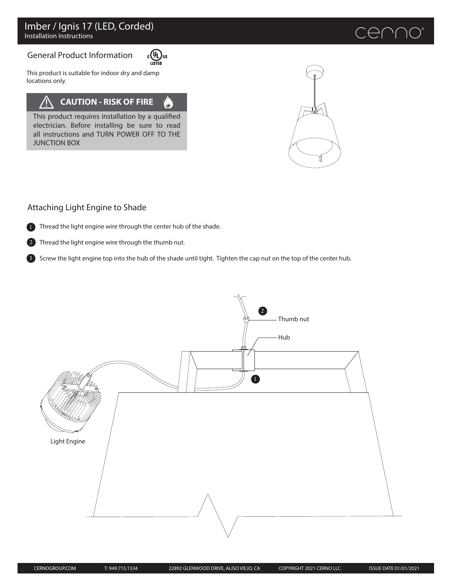# General Product Information



 $\begin{matrix} \overline{u} \\ u \end{matrix}$   $\begin{matrix} \overline{u} \\ u \end{matrix}$ This product is suitable for indoor dry and damp locations only.

## **CAUTION - RISK OF FIRE**  $\mathbf{v}$

This product requires installation by a qualified electrician. Before installing be sure to read all instructions and TURN POWER OFF TO THE JUNCTION BOX

# Attaching Light Engine to Shade



1 Thread the light engine wire through the center hub of the shade.

Thread the light engine wire through the thumb nut.  $\mathcal{L}$ 

3) Screw the light engine top into the hub of the shade until tight. Tighten the cap nut on the top of the center hub.

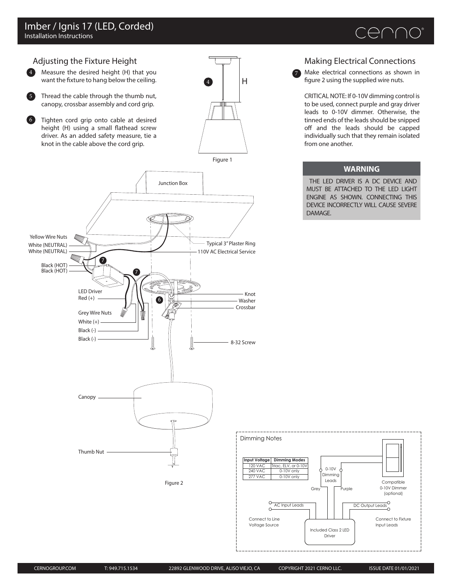



Make electrical connections as shown in figure 2 using the supplied wire nuts.

7

CRITICAL NOTE: If 0-10V dimming control is to be used, connect purple and gray driver leads to 0-10V dimmer. Otherwise, the tinned ends of the leads should be snipped off and the leads should be capped individually such that they remain isolated from one another.

### **WARNING**

THE LED DRIVER IS A DC DEVICE AND MUST BE ATTACHED TO THE LED LIGHT ENGINE AS SHOWN. CONNECTING THIS DEVICE INCORRECTLY WILL CAUSE SEVERE DAMAGE.